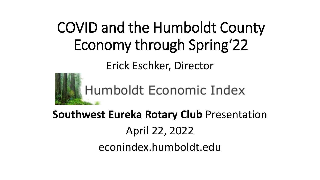# COVID and the Humboldt County Economy through Spring'22

Erick Eschker, Director



**Southwest Eureka Rotary Club** Presentation April 22, 2022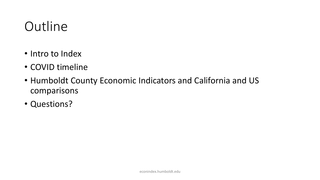### **Outline**

- Intro to Index
- COVID timeline
- Humboldt County Economic Indicators and California and US comparisons
- Questions?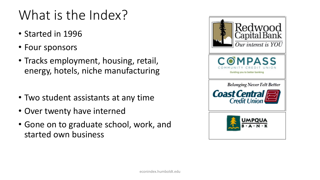# What is the Index?

- Started in 1996
- Four sponsors
- Tracks employment, housing, retail, energy, hotels, niche manufacturing
- Two student assistants at any time
- Over twenty have interned
- Gone on to graduate school, work, and started own business

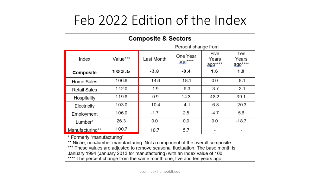### Feb 2022 Edition of the Index

| <b>Composite &amp; Sectors</b>                                                                             |          |                     |                             |                          |                         |
|------------------------------------------------------------------------------------------------------------|----------|---------------------|-----------------------------|--------------------------|-------------------------|
|                                                                                                            |          | Percent change from |                             |                          |                         |
| Index                                                                                                      | Value*** | Last Month          | One Year<br><u>ago</u> **** | Five<br>Years<br>ago**** | Ten<br>Years<br>ago**** |
| Composite                                                                                                  | 103.5    | $-3.8$              | $-0.4$                      | 1.6                      | 1.9                     |
| Home Sales                                                                                                 | 106.8    | $-14.6$             | $-18.1$                     | 0.0                      | $-8.1$                  |
| <b>Retail Sales</b>                                                                                        | 142.0    | $-1.9$              | $-6.3$                      | $-3.7$                   | $-2.1$                  |
| Hospitality                                                                                                | 119.8    | $-0.9$              | 14.3                        | 48.2                     | 39.1                    |
| Electricity                                                                                                | 103.0    | $-10.4$             | $-4.1$                      | $-6.8$                   | $-20.3$                 |
| Employment                                                                                                 | 106.0    | $-1.7$              | 2.5                         | $-4.7$                   | 5.6                     |
| Lumber*                                                                                                    | 26.3     | 0.0                 | 0.0                         | 0.0                      | $-18.7$                 |
| Manufacturing**                                                                                            | 100.7    | 10.7                | 5.7                         |                          |                         |
| * Formerly "manufacturing"<br>** Niche, non-lumber manufacturing. Not a component of the overall composite |          |                     |                             |                          |                         |

\*\* Niche, non-lumber manufacturing. Not a component of the overall composite.<br>\*\*\* These values are adjusted to remove seasonal fluctuation. The base month is

January 1994 (January 2013 for manufacturing) with an Index value of 100.

\*\*\*\* The percent change from the same month one, five and ten years ago.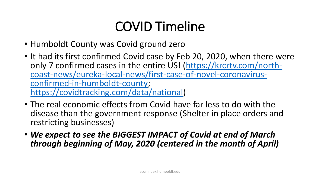# COVID Timeline

- Humboldt County was Covid ground zero
- It had its first confirmed Covid case by Feb 20, 2020, when there were only 7 confirmed cases in the entire US! (https://krcrtv.com/northcoast-news/eureka-local-news/first-case-of-novel-coronavirus-<br>confirmed-in-humboldt-county; <https://covidtracking.com/data/national>)
- The real economic effects from Covid have far less to do with the disease than the government response (Shelter in place orders and restricting businesses)
- *We expect to see the BIGGEST IMPACT of Covid at end of March through beginning of May, 2020 (centered in the month of April)*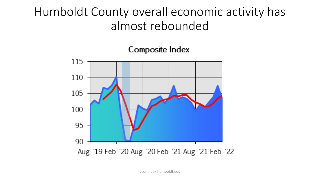### Humboldt County overall economic activity has almost rebounded



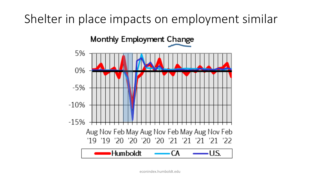### Shelter in place impacts on employment similar

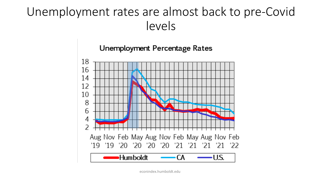### Unemployment rates are almost back to pre-Covid levels

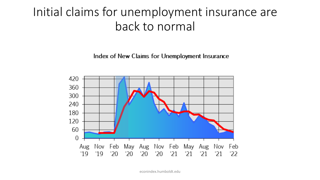#### Initial claims for unemployment insurance are back to normal

Index of New Claims for Unemployment Insurance

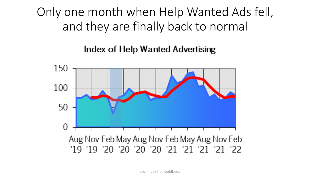Only one month when Help Wanted Ads fell, and they are finally back to normal

#### Index of Help Wanted Advertising

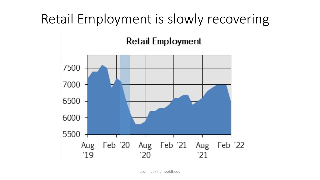### Retail Employment is slowly recovering

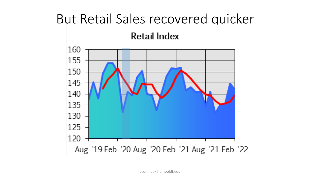### But Retail Sales recovered quicker

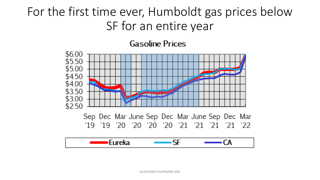### For the first time ever, Humboldt gas prices below SF for an entire year

**Gasoline Prices** 

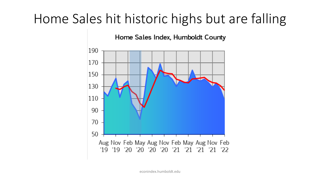### Home Sales hit historic highs but are falling

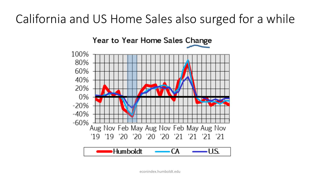### California and US Home Sales also surged for a while

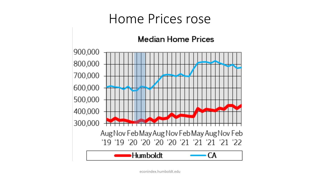#### Home Prices rose

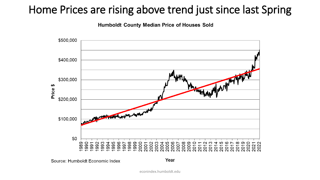#### Home Prices are rising above trend just since last Spring

**Humboldt County Median Price of Houses Sold** 



Source: Humboldt Economic Index

Year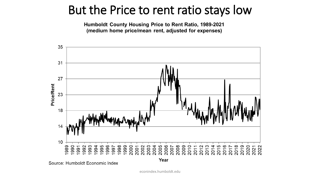#### But the Price to rent ratio stays low

Humboldt County Housing Price to Rent Ratio, 1989-2021 (medium home price/mean rent, adjusted for expenses)



Source: Humboldt Economic Index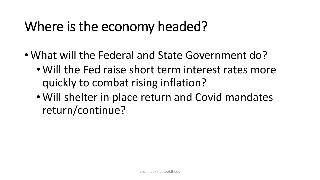# Where is the economy headed?

- What will the Federal and State Government do?
	- Will the Fed raise short term interest rates more quickly to combat rising inflation?
	- Will shelter in place return and Covid mandates return/continue?